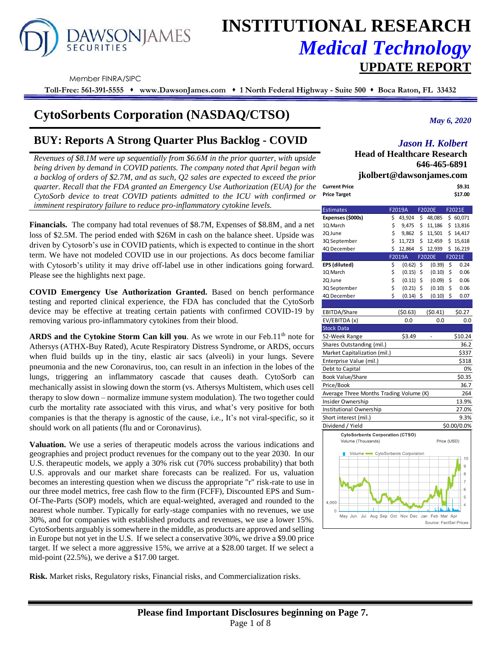# **AWSONJAMES**

# **INSTITUTIONAL RESEARCH** *Medical Technology*  **UPDATE REPORT**

Member FINRA/SIPC

**Toll-Free: 561-391-5555** ⬧ **www.DawsonJames.com** ⬧ **1 North Federal Highway - Suite 500** ⬧ **Boca Raton, FL 33432**

# **CytoSorbents Corporation (NASDAQ/CTSO)**

# **BUY: Reports A Strong Quarter Plus Backlog - COVID**

*Revenues of \$8.1M were up sequentially from \$6.6M in the prior quarter, with upside being driven by demand in COVID patients. The company noted that April began with a backlog of orders of \$2.7M, and as such, Q2 sales are expected to exceed the prior quarter. Recall that the FDA granted an Emergency Use Authorization (EUA) for the CytoSorb device to treat COVID patients admitted to the ICU with confirmed or imminent respiratory failure to reduce pro-inflammatory cytokine levels.*

**Financials.** The company had total revenues of \$8.7M, Expenses of \$8.8M, and a net loss of \$2.5M. The period ended with \$26M in cash on the balance sheet. Upside was driven by Cytosorb's use in COVID patients, which is expected to continue in the short term. We have not modeled COVID use in our projections. As docs become familiar with Cytosorb's utility it may drive off-label use in other indications going forward. Please see the highlights next page.

**COVID Emergency Use Authorization Granted.** Based on bench performance testing and reported clinical experience, the FDA has concluded that the CytoSorb device may be effective at treating certain patients with confirmed COVID-19 by removing various pro-inflammatory cytokines from their blood.

**ARDS and the Cytokine Storm Can kill you.** As we wrote in our Feb.11<sup>th</sup> note for Athersys (ATHX-Buy Rated), Acute Respiratory Distress Syndrome, or ARDS, occurs when fluid builds up in the tiny, elastic air sacs (alveoli) in your lungs. Severe pneumonia and the new Coronavirus, too, can result in an infection in the lobes of the lungs, triggering an inflammatory cascade that causes death. CytoSorb can mechanically assist in slowing down the storm (vs. Athersys Multistem, which uses cell therapy to slow down – normalize immune system modulation). The two together could curb the mortality rate associated with this virus, and what's very positive for both companies is that the therapy is agnostic of the cause, i.e., It's not viral-specific, so it should work on all patients (flu and or Coronavirus).

**Valuation.** We use a series of therapeutic models across the various indications and geographies and project product revenues for the company out to the year 2030. In our U.S. therapeutic models, we apply a 30% risk cut (70% success probability) that both U.S. approvals and our market share forecasts can be realized. For us, valuation becomes an interesting question when we discuss the appropriate "r" risk-rate to use in our three model metrics, free cash flow to the firm (FCFF), Discounted EPS and Sum-Of-The-Parts (SOP) models, which are equal-weighted, averaged and rounded to the nearest whole number. Typically for early-stage companies with no revenues, we use 30%, and for companies with established products and revenues, we use a lower 15%. CytoSorbents arguably is somewhere in the middle, as products are approved and selling in Europe but not yet in the U.S. If we select a conservative 30%, we drive a \$9.00 price target. If we select a more aggressive 15%, we arrive at a \$28.00 target. If we select a mid-point (22.5%), we derive a \$17.00 target.

**Risk.** Market risks, Regulatory risks, Financial risks, and Commercialization risks.

*May 6, 2020*

# *Jason H. Kolbert*

**Head of Healthcare Research 646-465-6891**

**jkolbert@dawsonjames.com**

| <b>Current Price</b> | \$9.31  |
|----------------------|---------|
| <b>Price Target</b>  | \$17.00 |

| F2019A<br><b>F2020E</b><br><b>Estimates</b>                                           | F2021E         |  |  |  |
|---------------------------------------------------------------------------------------|----------------|--|--|--|
| Expenses (\$000s)<br>\$<br>43,924<br>\$<br>48,085                                     | \$60,071       |  |  |  |
| \$<br>\$<br>1Q March<br>9,475<br>11,186                                               | \$13,816       |  |  |  |
| \$<br>\$<br>11,501<br>2Q June<br>9,862                                                | \$14,417       |  |  |  |
| \$<br>\$<br>11,723<br>12,459<br>3Q September                                          | \$15,618       |  |  |  |
| \$<br>\$<br>4Q December<br>12,864<br>12,939<br>\$                                     | 16,219         |  |  |  |
| F2019A<br>F2020E<br>F2021E                                                            |                |  |  |  |
| EPS (diluted)<br>\$<br>\$<br>(0.62)<br>\$<br>(0.39)                                   | 0.24           |  |  |  |
| \$<br>\$<br>\$<br>1Q March<br>(0.15)<br>(0.10)                                        | 0.06           |  |  |  |
| \$<br>\$<br>\$<br>(0.11)<br>(0.09)<br>2Q June                                         | 0.06           |  |  |  |
| \$<br>\$<br>\$<br>(0.21)<br>(0.10)<br>3Q September                                    | 0.06           |  |  |  |
| Ś<br>\$<br>\$<br>4Q December<br>(0.14)<br>(0.10)                                      | 0.07           |  |  |  |
|                                                                                       |                |  |  |  |
| (50.41)<br>EBITDA/Share<br>(50.63)                                                    | \$0.27         |  |  |  |
| EV/EBITDA (x)<br>0.0<br>0.0                                                           | 0.0            |  |  |  |
| <b>Stock Data</b>                                                                     |                |  |  |  |
| 52-Week Range<br>\$3.49                                                               | \$10.24        |  |  |  |
| Shares Outstanding (mil.)                                                             | 36.2           |  |  |  |
| Market Capitalization (mil.)                                                          | \$337          |  |  |  |
| Enterprise Value (mil.)                                                               | \$318          |  |  |  |
| Debt to Capital                                                                       | 0%             |  |  |  |
| <b>Book Value/Share</b>                                                               | \$0.35         |  |  |  |
| Price/Book                                                                            | 36.7           |  |  |  |
| Average Three Months Trading Volume (K)                                               | 264            |  |  |  |
| Insider Ownership                                                                     | 13.9%          |  |  |  |
| Institutional Ownership                                                               | 27.0%          |  |  |  |
| Short interest (mil.)                                                                 | 9.3%           |  |  |  |
| Dividend / Yield<br>\$0.00/0.0%                                                       |                |  |  |  |
| <b>CytoSorbents Corporation (CTSO)</b>                                                |                |  |  |  |
| Volume (Thousands)<br>Price (USD)                                                     |                |  |  |  |
|                                                                                       |                |  |  |  |
| Volume CytoSorbents Corporation                                                       | 10             |  |  |  |
|                                                                                       | 9              |  |  |  |
|                                                                                       | 8              |  |  |  |
|                                                                                       | 7              |  |  |  |
|                                                                                       | 6              |  |  |  |
|                                                                                       | 5              |  |  |  |
| 4,000                                                                                 | $\overline{4}$ |  |  |  |
| $\circ$                                                                               |                |  |  |  |
| Jan Feb Mar Apr<br>Jul<br>Aug Sep Oct<br>Nov Dec<br>May Jun<br>Source: FactSet Prices |                |  |  |  |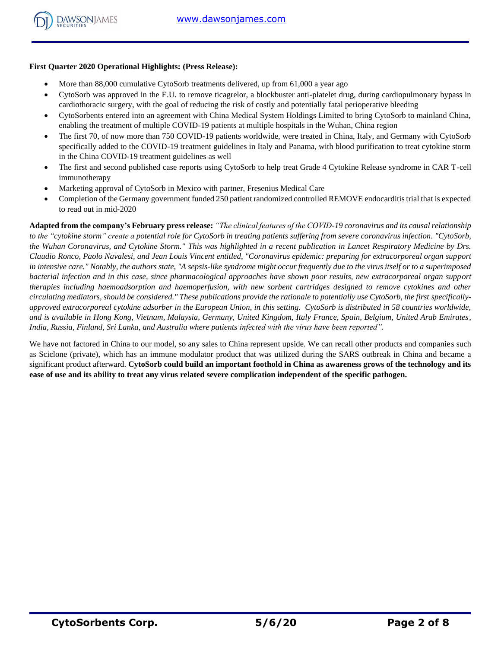## **First Quarter 2020 Operational Highlights: (Press Release):**

- More than 88,000 cumulative CytoSorb treatments delivered, up from 61,000 a year ago
- CytoSorb was approved in the E.U. to remove ticagrelor, a blockbuster anti-platelet drug, during cardiopulmonary bypass in cardiothoracic surgery, with the goal of reducing the risk of costly and potentially fatal perioperative bleeding
- CytoSorbents entered into an agreement with China Medical System Holdings Limited to bring CytoSorb to mainland China, enabling the treatment of multiple COVID-19 patients at multiple hospitals in the Wuhan, China region
- The first 70, of now more than 750 COVID-19 patients worldwide, were treated in China, Italy, and Germany with CytoSorb specifically added to the COVID-19 treatment guidelines in Italy and Panama, with blood purification to treat cytokine storm in the China COVID-19 treatment guidelines as well
- The first and second published case reports using CytoSorb to help treat Grade 4 Cytokine Release syndrome in CAR T-cell immunotherapy
- Marketing approval of CytoSorb in Mexico with partner, Fresenius Medical Care
- Completion of the Germany government funded 250 patient randomized controlled REMOVE endocarditis trial that is expected to read out in mid-2020

**Adapted from the company's February press release:** *"The clinical features of the COVID-19 coronavirus and its causal relationship to the "cytokine storm" create a potential role for CytoSorb in treating patients suffering from severe coronavirus infection. "CytoSorb, the Wuhan Coronavirus, and Cytokine Storm." This was highlighted in a recent publication in Lancet Respiratory Medicine by Drs. Claudio Ronco, Paolo Navalesi, and Jean Louis Vincent entitled, "Coronavirus epidemic: preparing for extracorporeal organ support in intensive care." Notably, the authors state, "A sepsis-like syndrome might occur frequently due to the virus itself or to a superimposed bacterial infection and in this case, since pharmacological approaches have shown poor results, new extracorporeal organ support therapies including haemoadsorption and haemoperfusion, with new sorbent cartridges designed to remove cytokines and other circulating mediators, should be considered." These publications provide the rationale to potentially use CytoSorb, the first specificallyapproved extracorporeal cytokine adsorber in the European Union, in this setting. CytoSorb is distributed in 58 countries worldwide, and is available in Hong Kong, Vietnam, Malaysia, Germany, United Kingdom, Italy France, Spain, Belgium, United Arab Emirates, India, Russia, Finland, Sri Lanka, and Australia where patients infected with the virus have been reported".*

We have not factored in China to our model, so any sales to China represent upside. We can recall other products and companies such as Sciclone (private), which has an immune modulator product that was utilized during the SARS outbreak in China and became a significant product afterward. **CytoSorb could build an important foothold in China as awareness grows of the technology and its ease of use and its ability to treat any virus related severe complication independent of the specific pathogen.**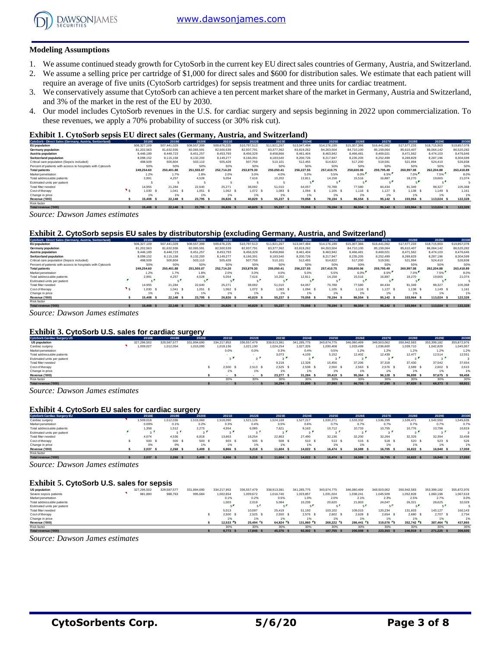

#### **Modeling Assumptions**

- 1. We assume continued steady growth for CytoSorb in the current key EU direct sales countries of Germany, Austria, and Switzerland.
- 2. We assume a selling price per cartridge of \$1,000 for direct sales and \$600 for distribution sales. We estimate that each patient will require an average of five units (CytoSorb cartridges) for sepsis treatment and three units for cardiac treatment.
- 3. We conservatively assume that CytoSorb can achieve a ten percent market share of the market in Germany, Austria and Switzerland, and 3% of the market in the rest of the EU by 2030.
- 4. Our model includes CytoSorb revenues in the U.S. for cardiac surgery and sepsis beginning in 2022 upon commercialization. To these revenues, we apply a 70% probability of success (or 30% risk cut).

#### **Exhibit 1. CytoSorb sepsis EU direct sales (Germany, Austria, and Switzerland)**

|                                                            |             |             |             | . .         |             |             |             |             |             |             |             |             |             |
|------------------------------------------------------------|-------------|-------------|-------------|-------------|-------------|-------------|-------------|-------------|-------------|-------------|-------------|-------------|-------------|
| CytoSorb - Direct Sales (Germany, Austria, Switzerland)    | 2018E       | 2019E       | 2020E       | 2021E       | 2022E       | 2023E       | 2024E       | 2025E       | 2026E       | 2027E       | 2028E       | 2029E       | 2030E       |
| <b>EU</b> population                                       | 506.327.109 | 507.441.029 | 508,557,399 | 509.676.225 | 510.797.513 | 511.921.267 | 513.047.494 | 514.176.199 | 515,307,386 | 516.441.062 | 517.577.233 | 518,715,903 | 519,857,078 |
| Germany population                                         | 81.202.563  | 81.632.936  | 82.065.591  | 82,500,539  | 82.937.791  | 83.377.362  | 83.819.262  | 84.263.504  | 84.710.100  | 85.159.064  | 85.610.407  | 86.064.142  | 86,520,282  |
| Austria population                                         | 8.446.189   | 8.448.723   | 8,451,257   | 8,453,793   | 8,456,329   | 8,458,866   | 8,461,404   | 8,463,942   | 8.466.481   | 8,469,021   | 8.471.562   | 8.474.103   | 8,476,646   |
| Switzerland population                                     | 8.098.152   | 8.115.158   | 8.132.200   | 8.149.277   | 8.166.391   | 8.183.540   | 8.200.726   | 8.217.947   | 8.235.205   | 8.252.499   | 8.269.829   | 8.287.196   | 8.304.599   |
| Critical care population (Sepsis included)                 | 498,509     | 500.804     | 503.110     | 505.428     | 507.759     | 510.101     | 512.455     | 514.822     | 517.200     | 519.591     | 521.994     | 524.410     | 526.838     |
| Percent of patients with access to hospitals with Cytosorb | 50%         | 50%         | 50%         | 50%         | 50%         | 50%         | 50%         | 50%         | 50%         | 50%         | 50%         | 50%         | 50%         |
| <b>Total patients</b>                                      | 249.254.60  | 250.401.88  | 251.555.07  | 252.714.20  | 253,879,30  | 255,050,41  | 256,227.55  | 257,410.75  | 258,600,06  | 259.795.49  | 260.997.08  | 262.204.88  | 263,418.89  |
| Market penetration                                         | 1.2%        | 1.7%        | 1.8%        | 2.0%        | 3.0%        | 4.0%        | 5.0%        | 5.5%        | 6.0%        | 6.5%        | 7.0%        | 7.5%        | 8.0%        |
| Total addressable patients                                 | 2.991       | 4,257       | 4.528       | 5.054       | 7.616       | 10.202      | 12.811      | 14.158      | 15.516      | 16,887      | 18.270      | 19.665      | 21.074      |
| Estimated units per patient                                |             |             |             |             |             |             |             |             | -           | - 1         |             |             |             |
| Total filter needed                                        | 14.955      | 21.284      | 22.640      | 25.271      | 38.082      | 51,010      | 64.057      | 70.788      | 77,580      | 84.434      | 91.349      | 98.327      | 105,368     |
| Cost of therapy                                            | 1.030       | 1.041 S     | 1.051       | $1,062$ \$  | $1,072$ \$  | 1.083       | $1,094$ \$  | 1.105 S     | $1.116$ \$  | $1,127$ \$  | 1.138 S     | 1.149 S     | 1.161       |
| Change in price                                            | 1%          | 1%          | 1%          |             | 1%          | 1%          |             | 1%          | 1%          | 1%          | 1%          | 1%          | 1%          |
| Revenue ('000)                                             | 15,408      | 22.148      | 23.795      | 26.826      | 40.829      | 55,237      | 70.058 \$   | 78.194      | 86,554      | 95.142 \$   | 103.964 S   | 113,024 \$  | 122,328     |
| Risk factor                                                |             |             |             |             |             |             |             |             |             |             |             |             |             |
| Total revenue ('000)                                       | 15,408      | 22.148 \$   | 23,795      | 26,826      | 40.829      | 55,237      | 70.058      | 78.194 S    | 86,554      | 95.142 \$   | 103,964 S   | 113.024     | 122.328     |

*Source: Dawson James estimates*

#### **Exhibit 2. CytoSorb sepsis EU sales by distributorship (excluding Germany, Austria, and Switzerland)**

| CytoSorb - Direct Sales (Germany, Austria, Switzerland)    | 2018E       | 2019E       | 2020E       | 2021E       | 2022E       | 2023E       | 2024E        | 2025E       | 2026E       | 2027E       | 2028E       | 2029E       | 2030E       |
|------------------------------------------------------------|-------------|-------------|-------------|-------------|-------------|-------------|--------------|-------------|-------------|-------------|-------------|-------------|-------------|
| EU population                                              | 506.327.109 | 507.441.029 | 508,557,399 | 509.676.225 | 510.797.513 | 511.921.267 | 513.047.494  | 514.176.199 | 515,307,386 | 516.441.062 | 517.577.233 | 518,715,903 | 519,857,078 |
| Germany population                                         | 81.202.563  | 81.632.936  | 82.065.591  | 82,500,539  | 82.937.791  | 83.377.362  | 83.819.262   | 84.263.504  | 84.710.100  | 85.159.064  | 85.610.407  | 86.064.142  | 86,520,282  |
| Austria population                                         | 8.446.189   | 8.448.723   | 8.451.257   | 8.453.793   | 8.456.329   | 8.458.866   | 8.461.404    | 8.463.942   | 8.466.481   | 8.469.021   | 8.471.562   | 8.474.103   | 8,476,646   |
| <b>Switzerland population</b>                              | 8.098.152   | 8.115.158   | 8.132.200   | 8.149.277   | 8,166,391   | 8,183,540   | 8,200,726    | 8.217.947   | 8,235,205   | 8.252.499   | 8,269,829   | 8.287.196   | 8.304.599   |
| Critical care population (Sepsis included)                 | 498,509     | 500,804     | 503.110     | 505.428     | 507.759     | 510.101     | 512.455      | 514.822     | 517,200     | 519.591     | 521.994     | 524,410     | 526.838     |
| Percent of patients with access to hospitals with Cytosorb | 50%         | 50%         | 50%         | 50%         | 50%         | 50%         | 50%          | 50%         | 50%         | 50%         | 50%         | 50%         | 50%         |
| <b>Total patients</b>                                      | 249.254.60  | 250.401.88  | 251.555.07  | 252.714.20  | 253,879.30  | 255.050.41  | 256.227.55   | 257,410.75  | 258,600,06  | 259.795.49  | 260.997.08  | 262.204.88  | 263,418.89  |
| Market penetration                                         | 1.2%        | 1.7%        | 1.8%        | 2.0%        | 3.0%        | 4.0%        | 5.0%         | 5.5%        | 6.0%        | 6.5%        | 7.0%        | 7.5%        | 8.0%        |
| Total addressable patients                                 | 2.991       | 4.257       | 4.528       | 5.054       | 7.616       | 10.202      | 12.811       | 14.158      | 15.516      | 16.887      | 18.270      | 19.665      | 21.074      |
| Estimated units per patient                                | п.          |             |             |             | -           |             |              |             |             |             |             |             |             |
| Total filter needed                                        | 14.955      | 21.284      | 22.640      | 25.271      | 38.082      | 51,010      | 64.057       | 70.788      | 77,580      | 84.434      | 91.349      | 98.327      | 105,368     |
| Cost of therapy                                            | 1.030       | 1.041 S     | 1.051 S     | 1.062 S     | 1.072 \$    | $1.083$ \$  | 1.094        | 1.105 S     | $1.116$ S   | $1,127$ \$  | 1.138 S     | 1.149 S     | 1.161       |
| Change in price                                            | 1%          | 1%          | 1%          | 1%          | 1%          | 1%          | 176          | 1%          | 1%          | 1%          | 1%          | 1%          | 1%          |
| Revenue ('000)                                             | 15,408      | 22.148 \$   | 23.795 \$   | 26.826      | 40.829      | 55.237      | 70.058<br>-5 | 78.194 S    | 86,554      | 95.142 \$   | 103.964 S   | 113.024 \$  | 122,328     |
| Risk factor                                                |             |             |             |             |             |             |              |             |             |             |             |             |             |
| Total revenue ('000)                                       | 15,408 S    | 22.148 \$   | 23.795 \$   | 26.826 S    | 40.829      | 55.237 \$   | 70.058 \$    | 78.194 S    | 86.554 \$   | 95.142 \$   | 103.964 S   | 113,024 \$  | 122.328     |

*Source: Dawson James estimates*

#### **Exhibit 3. CytoSorb U.S. sales for cardiac surgery**

| Exhibit 3. CytoSorb U.S. sales for cardiac surgery |  |             |             |             |             |               |             |             |             |             |             |             |             |             |
|----------------------------------------------------|--|-------------|-------------|-------------|-------------|---------------|-------------|-------------|-------------|-------------|-------------|-------------|-------------|-------------|
| <b>CytoSorb Cardiac Surgery US</b>                 |  | 2018E       | 2019E       | 2020E       | 2021E       | 2022E         | 2023E       | 2024E       | 2025E       | 2026E       | 2027E       | 2028E       | 2029E       | 2030E       |
| <b>US population</b>                               |  | 327,296,502 | 329,587,577 | 331.894.690 | 334.217.953 | 336.557.479   | 338,913,381 | 341,285,775 | 343.674.775 | 346,080,499 | 348,503,062 | 350,942,583 | 353,399,182 | 355,872,976 |
| Cardiac surgery                                    |  | 009,027     | 1,012,054   | 1,015,090   | 1.018.136   | 1,021,190     | 1.024.254   | 1,027,326   | 1.030.408   | 1.033.499   | 1,036,600   | 1,039,710   | 1.042.829   | 1.045.957   |
| Market penetration                                 |  |             |             |             | 0.0%        | 0.0%          | 0.3%        | 0.4%        | 0.5%        | 1.2%        | 1.2%        | 1.2%        | 1.2%        | 1.2%        |
| Total addressable patients                         |  |             |             |             |             |               | 3.073       | 4.109       | 5.152       | 12,402      | 12.439      | 12.477      | 12.514      | 12,551      |
| Estimated units per patient                        |  |             |             |             | - F         | $\sim$ $\sim$ |             | . .         |             | $\sim$ 1    | $\sim$      |             | $\sim$      |             |
| Total filter needed                                |  |             |             |             |             |               | 9.218       | 12.328      | 15,456      | 37,206      | 37,318      | 37,430      | 37.542      | 37.654      |
| Cost of therapy                                    |  |             |             |             | 2.500       | 2.513         | 2.525       | 2.538       | 2.550 S     | 2.563 S     | 2.576 S     | 2.589 S     | 2.602 S     | 2.615       |
| Change in price                                    |  |             |             |             | 1%          | 1%            | 1%          | 1%          | 1%          | 1%          | 1%          | 1%          | 1%          | 1%          |
| Revenue ('000)                                     |  |             |             |             |             |               | 23,277 \$   | 31.284 S    | 39.419 S    | 95.364 \$   | 96.128 \$   | 96.899 S    | 97.675 \$   | 98,458      |
| Risk factor                                        |  |             |             |             | 30%         | 30%           | 30%         | 30%         | 30%         | 30%         | 30%         | 30%         | 30%         | 30%         |
| Total revenue ('000)                               |  |             |             |             |             |               | 16.294 \$   | 21,899 \$   | 27.593 S    | 66.755 \$   | 67.290 \$   | 67.829 S    | 68,373 \$   | 68,921      |

*Source: Dawson James estimates*

#### **Exhibit 4. CytoSorb EU sales for cardiac surgery**

| <b>Exhibit 4. CytoSorb EU sales for cardiac surgery</b><br><b>CytoSorb Cardiac Surgery EU</b> | 2018E    | 2019E     | 2020E     | 2021E     | 2022E         | 2023E     | 2024E     | 2025E     | 2026E     | 2027E     | 2028E     | 2029E          | 2030E     |
|-----------------------------------------------------------------------------------------------|----------|-----------|-----------|-----------|---------------|-----------|-----------|-----------|-----------|-----------|-----------|----------------|-----------|
| Cardiac surgery                                                                               | .509,018 | 1.512.036 | 1,515,060 | 1.518.090 | 1.521.126     | 1,524,169 | 1.527.217 | 1.530.271 | 1,533,332 | 1,536,399 | 1.539.471 | 1.542.550      | 1.545.635 |
| Market penetration                                                                            | 0.09%    | 0.1%      | 0.2%      | 0.3%      | 0.4%          | 0.5%      | 0.6%      | 0.7%      | 0.7%      | 0.7%      | 0.7%      | 0.7%           | 0.7%      |
| Total addressable patients                                                                    | 1.358    | 1,512     | 2.273     | 4.554     | 6.085         | 7.621     | 9,163     | 10.712    | 10.733    | 10.755    | 10.776    | 10.798         | 10,819    |
| Estimated units per patient                                                                   | $\sim$   |           |           |           | $\sim$ $\sim$ | $\sim$    |           |           | $\sim$    | $\sim$    |           | $\sim$         |           |
| Total filter needed                                                                           | 4.074    | 4.536     | 6.818     | 13.663    | 18.254        | 22.863    | 27,490    | 32.136    | 32.200    | 32.264    | 32.329    | 32.394         | 32.458    |
| Cost of therapy                                                                               | 500 S    | 500 \$    | 500       | 503 S     | 505 \$        | 508       | 510 S     | 513 S     | 515 \$    | 518 S     | 520       | 523 \$         | 526       |
| Change in price                                                                               | 0%       | 0%        | 1%        | 1%        | 1%            | 1%        | 1%        | 1%        | 1%        | 1%        | 1%        | 1%             | 1%        |
| Revenue ('000)                                                                                | 2.037    | 2.268     | 3.409     | 6,866     | 9.218         | 11,604    | 14.022 \$ | 16.474 S  | 16,589    | 16.705 \$ | 16.822 S  | 16,940<br>- \$ | 17,059    |
| Risk factor                                                                                   |          |           |           |           |               |           |           |           |           |           |           |                |           |
| Total revenue ('000)                                                                          | 2.037    | 2.268S    | 3,409     | 6.866 S   | 9.218         | 11,604 \$ | 14.022 \$ | 16,474 S  | 16,589 \$ | 16.705 \$ | 16.822 S  | 16,940 \$      | 17,059    |

*Source: Dawson James estimates*

**Exhibit 5. CytoSorb U.S. sales for sepsis**

| Exhibit 5. CytoSorb U.S. sales for sepsis |  |             |             |             |             |             |             |             |             |             |             |             |             |             |
|-------------------------------------------|--|-------------|-------------|-------------|-------------|-------------|-------------|-------------|-------------|-------------|-------------|-------------|-------------|-------------|
| <b>US population</b>                      |  | 327.296.502 | 329.587.577 | 331.894.690 | 334.217.953 | 336.557.479 | 338.913.381 | 341.285.775 | 343.674.775 | 346,080,499 | 348,503,062 | 350.942.583 | 353.399.182 | 355,872,976 |
| Severe sepsis patients                    |  | 981,890     | 988,763     | 995,684     | 1.002.654   | 1,009,672   | 1.016.740   | 1,023,857   | 1.031.024   | 1.038.241   | 1,045,509   | 1,052,828   | 1.060.198   | 1.067.619   |
| Market penetration                        |  |             |             |             | 0.1%        | 0.2%        | 0.5%        | 1.0%        | 2.0%        | 2.1%        | 2.3%        | 2.5%        | 2.7%        | 3.0%        |
| Total addressable patients                |  |             |             |             | 1.003       | 2.019       | 5.084       | 10,239      | 20,620      | 21,803      | 24.047      | 26,321      | 28.625      | 32.029      |
| Estimated units per patient               |  |             |             |             |             | к.          |             |             |             |             | - -         |             |             |             |
| Total filter needed                       |  |             |             |             | 5.013       | 10.097      | 25.419      | 51.193      | 103.102     | 109.015     | 120.234     | 131.603     | 143.127     | 160.143     |
| Cost of therapy                           |  |             |             |             | 2.500 S     | 2.525       | $2.550$ \$  | 2.576 S     | 2.602 S     | 2.628 S     | 2.654 S     | 2.680S      | 2.707 \$    | 2.734       |
| Change in price                           |  |             |             |             |             |             |             |             | 1%          | 1%          | 1%          | 1%          |             | 1%          |
| Revenue ('000)                            |  |             |             |             | 12.533 S    | $25.494$ S  | 64.824 S    | 131.860     | 268.222 S   | 286.441 S   | 319,076     | 352.742 S   | 387.464 S   | 437,865     |
| Risk factor                               |  |             |             |             | 30%         | 30%         | 30%         | 30%         | 30%         | 30%         | 30%         | 30%         | 30%         | 30%         |
| Total revenue ('000)                      |  |             |             |             | 8.773       | 17,846      | 45.376 \$   | 92,302      | 187,755 \$  | 200.508     | 223,353     | 246,919 S   | 271.225 \$  | 306.505     |

*Source: Dawson James estimates*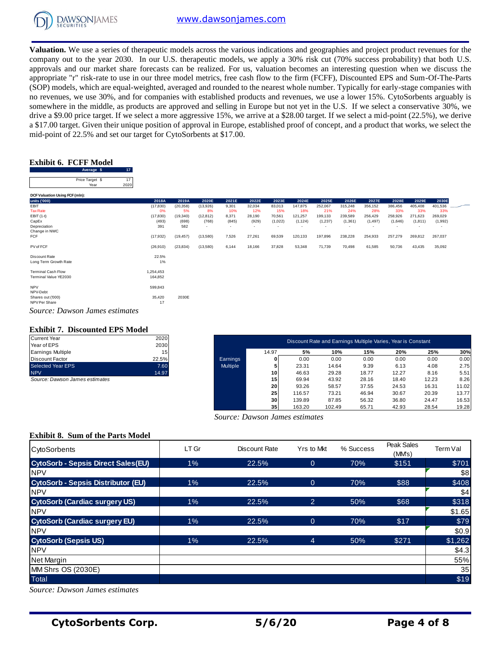

**Valuation.** We use a series of therapeutic models across the various indications and geographies and project product revenues for the company out to the year 2030. In our U.S. therapeutic models, we apply a 30% risk cut (70% success probability) that both U.S. approvals and our market share forecasts can be realized. For us, valuation becomes an interesting question when we discuss the appropriate "r" risk-rate to use in our three model metrics, free cash flow to the firm (FCFF), Discounted EPS and Sum-Of-The-Parts (SOP) models, which are equal-weighted, averaged and rounded to the nearest whole number. Typically for early-stage companies with no revenues, we use 30%, and for companies with established products and revenues, we use a lower 15%. CytoSorbents arguably is somewhere in the middle, as products are approved and selling in Europe but not yet in the U.S. If we select a conservative 30%, we drive a \$9.00 price target. If we select a more aggressive 15%, we arrive at a \$28.00 target. If we select a mid-point (22.5%), we derive a \$17.00 target. Given their unique position of approval in Europe, established proof of concept, and a product that works, we select the mid-point of 22.5% and set our target for CytoSorbents at \$17.00.

# **Exhibit 6. FCFF Model**

| Average \$      |                       |
|-----------------|-----------------------|
| Price Target \$ |                       |
| Year            | 2020                  |
|                 | Exhibit 6. FCFF Model |

| 17<br>Average \$                      |           |           |                          |                          |        |         |          |          |          |                          |         |          |                          |  |
|---------------------------------------|-----------|-----------|--------------------------|--------------------------|--------|---------|----------|----------|----------|--------------------------|---------|----------|--------------------------|--|
| Price Target \$<br>17<br>Year<br>2020 |           |           |                          |                          |        |         |          |          |          |                          |         |          |                          |  |
| DCF Valuation Using FCF (mln):        |           |           |                          |                          |        |         |          |          |          |                          |         |          |                          |  |
| units ('000)                          | 2018A     | 2019A     | 2020E                    | 2021E                    | 2022E  | 2023E   | 2024E    | 2025E    | 2026E    | 2027E                    | 2028E   | 2029E    | 2030E                    |  |
| EBIT                                  | (17, 830) | (20, 358) | (13,926)                 | 9,301                    | 32,034 | 83,013  | 147,875  | 252,067  | 315,248  | 356,152                  | 386,456 | 405,408  | 401,536                  |  |
| <b>Tax Rate</b>                       | 0%        | 5%        | 8%                       | 10%                      | 12%    | 15%     | 18%      | 21%      | 24%      | 28%                      | 33%     | 33%      | 33%                      |  |
| EBIT (1-t)                            | (17, 830) | (19, 340) | (12, 812)                | 8,371                    | 28,190 | 70,561  | 121,257  | 199,133  | 239,589  | 256,429                  | 258,926 | 271,623  | 269,029                  |  |
| CapEx                                 | (493)     | (698)     | (768)                    | (845)                    | (929)  | (1,022) | (1, 124) | (1, 237) | (1, 361) | (1, 497)                 | (1,646) | (1, 811) | (1,992)                  |  |
| Depreciation                          | 391       | 582       | $\overline{\phantom{a}}$ | $\overline{\phantom{a}}$ | $\sim$ | ٠       | $\sim$   | ٠        |          | $\overline{\phantom{a}}$ |         |          | $\overline{\phantom{a}}$ |  |
| Change in NWC                         |           |           |                          |                          |        |         |          |          |          |                          |         |          |                          |  |
| FCF                                   | (17, 932) | (19, 457) | (13,580)                 | 7,526                    | 27,261 | 69,539  | 120,133  | 197,896  | 238,228  | 254,933                  | 257,279 | 269,812  | 267,037                  |  |
| PV of FCF                             | (26, 910) | (23, 834) | (13,580)                 | 6,144                    | 18,166 | 37,828  | 53,348   | 71,739   | 70,498   | 61,585                   | 50,736  | 43,435   | 35,092                   |  |
| Discount Rate                         | 22.5%     |           |                          |                          |        |         |          |          |          |                          |         |          |                          |  |
| Long Term Growth Rate                 | 1%        |           |                          |                          |        |         |          |          |          |                          |         |          |                          |  |
| <b>Terminal Cash Flow</b>             | 1,254,453 |           |                          |                          |        |         |          |          |          |                          |         |          |                          |  |
| Terminal Value YE2030                 | 164,852   |           |                          |                          |        |         |          |          |          |                          |         |          |                          |  |
| <b>NPV</b>                            | 599,843   |           |                          |                          |        |         |          |          |          |                          |         |          |                          |  |
| NPV-Debt                              |           |           |                          |                          |        |         |          |          |          |                          |         |          |                          |  |
| Shares out ('000)                     | 35,420    | 2030E     |                          |                          |        |         |          |          |          |                          |         |          |                          |  |
| NPV Per Share                         | 17        |           |                          |                          |        |         |          |          |          |                          |         |          |                          |  |
| Source: Dawson James estimates        |           |           |                          |                          |        |         |          |          |          |                          |         |          |                          |  |

#### **Exhibit 7. Discounted EPS Model**

| <b>Current Year</b>      | 2020  |
|--------------------------|-------|
| Year of EPS              | 2030  |
| <b>Earnings Multiple</b> | 15    |
| Discount Factor          | 22.5% |
| Selected Year EPS        | 7.60  |
| <b>NPV</b>               | 14.97 |

| Current Year                   | 2020  |                 |                 |        | Discount Rate and Earnings Multiple Varies, Year is Constant |       |       |       |       |
|--------------------------------|-------|-----------------|-----------------|--------|--------------------------------------------------------------|-------|-------|-------|-------|
| Year of EPS                    | 2030  |                 |                 |        |                                                              |       |       |       |       |
| Earnings Multiple              | 15    |                 | 14.97           | 5%     | 10%                                                          | 15%   | 20%   | 25%   | 30%   |
| Discount Factor                | 22.5% | Earnings        | 0               | 0.00   | 0.00                                                         | 0.00  | 0.00  | 0.00  | 0.00  |
| Selected Year EPS              | 7.60  | <b>Multiple</b> |                 | 23.31  | 14.64                                                        | 9.39  | 6.13  | 4.08  | 2.75  |
| <b>NPV</b>                     | 14.97 |                 | 10 <sup>1</sup> | 46.63  | 29.28                                                        | 18.77 | 12.27 | 8.16  | 5.51  |
| Source: Dawson James estimates |       |                 | 15 <sub>l</sub> | 69.94  | 43.92                                                        | 28.16 | 18.40 | 12.23 | 8.26  |
|                                |       |                 | 20              | 93.26  | 58.57                                                        | 37.55 | 24.53 | 16.31 | 11.02 |
|                                |       |                 | 25              | 116.57 | 73.21                                                        | 46.94 | 30.67 | 20.39 | 13.77 |
|                                |       |                 | 30 <sup>1</sup> | 139.89 | 87.85                                                        | 56.32 | 36.80 | 24.47 | 16.53 |
|                                |       |                 | 35 <sub>1</sub> | 163.20 | 102.49                                                       | 65.71 | 42.93 | 28.54 | 19.28 |

# **Exhibit 8. Sum of the Parts Model**

| a φ17.00 airged Green their ainque position or approvai in Europe, csatonshea proor or concept, and a product that works, we serect the<br>mid-point of 22.5% and set our target for CytoSorbents at \$17.00. |                      |                    |                   |                                |                          |                          |                          |                          |                  |                                                              |                     |                  |                          |                |
|---------------------------------------------------------------------------------------------------------------------------------------------------------------------------------------------------------------|----------------------|--------------------|-------------------|--------------------------------|--------------------------|--------------------------|--------------------------|--------------------------|------------------|--------------------------------------------------------------|---------------------|------------------|--------------------------|----------------|
|                                                                                                                                                                                                               |                      |                    |                   |                                |                          |                          |                          |                          |                  |                                                              |                     |                  |                          |                |
| <b>Exhibit 6. FCFF Model</b><br>Average \$<br>17 <sub>2</sub>                                                                                                                                                 |                      |                    |                   |                                |                          |                          |                          |                          |                  |                                                              |                     |                  |                          |                |
| 17<br>Price Target \$                                                                                                                                                                                         |                      |                    |                   |                                |                          |                          |                          |                          |                  |                                                              |                     |                  |                          |                |
| 2020<br>Year<br>DCF Valuation Using FCF (mln):                                                                                                                                                                |                      |                    |                   |                                |                          |                          |                          |                          |                  |                                                              |                     |                  |                          |                |
| units ('000)<br>EBIT                                                                                                                                                                                          | 2018A<br>(17, 830)   | 2019A<br>(20, 358) | 2020E<br>(13,926) | 2021E<br>9,301                 | 2022E<br>32,034          | 2023E<br>83,013          | 2024E<br>147,875         | 2025E<br>252,067         | 2026E<br>315,248 | 2027E<br>356,152                                             | 2028E<br>386,456    | 2029E<br>405,408 | 2030E<br>401,536         |                |
| <b>Tax Rate</b><br>EBIT (1-t)                                                                                                                                                                                 | 0%<br>(17, 830)      | 5%<br>(19, 340)    | 8%<br>(12, 812)   | 10%<br>8,371                   | 12%<br>28,190            | 15%<br>70,561            | 18%<br>121,257           | 21%<br>199,133           | 24%<br>239,589   | 28%<br>256,429                                               | 33%<br>258,926      | 33%<br>271,623   | 33%<br>269,029           |                |
| CapEx                                                                                                                                                                                                         | (493)                | (698)              | (768)             | (845)                          | (929)                    | (1,022)                  | (1, 124)                 | (1, 237)                 | (1, 361)         | (1, 497)                                                     | (1,646)             | (1, 811)         | (1,992)                  |                |
| Depreciation<br>Change in NWC                                                                                                                                                                                 | 391                  | 582                |                   |                                | $\overline{\phantom{a}}$ | $\overline{\phantom{a}}$ | $\overline{\phantom{a}}$ | $\overline{\phantom{a}}$ |                  |                                                              |                     |                  | $\overline{\phantom{a}}$ |                |
| FCF                                                                                                                                                                                                           | (17, 932)            | (19, 457)          | (13,580)          | 7,526                          | 27,261                   | 69,539                   | 120,133                  | 197,896                  | 238,228          | 254,933                                                      | 257,279             | 269,812          | 267,037                  |                |
| PV of FCF                                                                                                                                                                                                     | (26, 910)            | (23, 834)          | (13,580)          | 6,144                          | 18,166                   | 37,828                   | 53,348                   | 71,739                   | 70,498           | 61,585                                                       | 50,736              | 43,435           | 35,092                   |                |
| Discount Rate<br>Long Term Growth Rate                                                                                                                                                                        | 22.5%<br>1%          |                    |                   |                                |                          |                          |                          |                          |                  |                                                              |                     |                  |                          |                |
| <b>Terminal Cash Flow</b><br>Terminal Value YE2030                                                                                                                                                            | 1,254,453<br>164,852 |                    |                   |                                |                          |                          |                          |                          |                  |                                                              |                     |                  |                          |                |
| <b>NPV</b><br>NPV-Debt                                                                                                                                                                                        | 599,843              |                    |                   |                                |                          |                          |                          |                          |                  |                                                              |                     |                  |                          |                |
| Shares out ('000)<br>NPV Per Share                                                                                                                                                                            | 35,420<br>17         | 2030E              |                   |                                |                          |                          |                          |                          |                  |                                                              |                     |                  |                          |                |
| Source: Dawson James estimates                                                                                                                                                                                |                      |                    |                   |                                |                          |                          |                          |                          |                  |                                                              |                     |                  |                          |                |
| <b>Exhibit 7. Discounted EPS Model</b>                                                                                                                                                                        |                      |                    |                   |                                |                          |                          |                          |                          |                  |                                                              |                     |                  |                          |                |
| <b>Current Year</b>                                                                                                                                                                                           | 2020                 |                    |                   |                                |                          |                          |                          |                          |                  | Discount Rate and Earnings Multiple Varies, Year is Constant |                     |                  |                          |                |
| Year of EPS<br><b>Earnings Multiple</b>                                                                                                                                                                       | 2030<br>15           |                    |                   |                                |                          | 14.97                    | 5%                       |                          | 10%              | 15%                                                          | 20%                 |                  | 25%                      | 30%            |
| <b>Discount Factor</b>                                                                                                                                                                                        | 22.5%                |                    |                   | Earnings                       |                          | 0                        | 0.00                     |                          | 0.00             | 0.00                                                         | 0.00                |                  | 0.00                     | 0.00           |
| <b>Selected Year EPS</b><br><b>NPV</b>                                                                                                                                                                        | 7.60<br>14.97        |                    |                   | Multiple                       |                          | 5<br>10                  | 23.31<br>46.63           | 14.64<br>29.28           |                  | 9.39<br>18.77                                                | 6.13<br>12.27       |                  | 4.08<br>8.16             | 2.75<br>5.51   |
| Source: Dawson James estimates                                                                                                                                                                                |                      |                    |                   |                                |                          | 15                       | 69.94                    | 43.92                    |                  | 28.16                                                        | 18.40               |                  | 12.23                    | 8.26           |
|                                                                                                                                                                                                               |                      |                    |                   |                                |                          | 20                       | 93.26                    | 58.57                    |                  | 37.55                                                        | 24.53               |                  | 16.31                    | 11.02          |
|                                                                                                                                                                                                               |                      |                    |                   |                                |                          | 25<br>30                 | 116.57<br>139.89         | 73.21<br>87.85           |                  | 46.94<br>56.32                                               | 30.67<br>36.80      |                  | 20.39<br>24.47           | 13.77<br>16.53 |
|                                                                                                                                                                                                               |                      |                    |                   |                                |                          | 35                       | 163.20                   | 102.49                   |                  | 65.71                                                        | 42.93               |                  | 28.54                    | 19.28          |
|                                                                                                                                                                                                               |                      |                    |                   | Source: Dawson James estimates |                          |                          |                          |                          |                  |                                                              |                     |                  |                          |                |
| <b>Exhibit 8. Sum of the Parts Model</b>                                                                                                                                                                      |                      |                    |                   |                                |                          |                          |                          |                          |                  |                                                              |                     |                  |                          |                |
| CytoSorbents                                                                                                                                                                                                  |                      | LT Gr              |                   |                                | <b>Discount Rate</b>     |                          |                          | Yrs to Mkt               |                  | % Success                                                    | Peak Sales<br>(MMs) |                  | Term Val                 |                |
| <b>CytoSorb - Sepsis Direct Sales(EU)</b>                                                                                                                                                                     |                      |                    | 1%                |                                | 22.5%                    |                          |                          | $\overline{0}$           |                  | 70%                                                          | \$151               |                  |                          | \$701          |
| <b>NPV</b>                                                                                                                                                                                                    |                      |                    |                   |                                |                          |                          |                          |                          |                  |                                                              |                     |                  |                          | \$8            |
| <b>CytoSorb - Sepsis Distributor (EU)</b><br><b>NPV</b>                                                                                                                                                       |                      | 1%                 |                   |                                | 22.5%                    |                          |                          | $\mathbf{0}$             |                  | 70%                                                          | \$88                |                  |                          | \$408<br>\$4   |
| <b>CytoSorb (Cardiac surgery US)</b>                                                                                                                                                                          |                      |                    | 1%                |                                | 22.5%                    |                          |                          | $\overline{2}$           |                  | 50%                                                          | \$68                |                  |                          | \$318          |
| <b>NPV</b>                                                                                                                                                                                                    |                      |                    |                   |                                |                          |                          |                          |                          |                  |                                                              |                     |                  |                          | \$1.65         |
| <b>CytoSorb (Cardiac surgery EU)</b>                                                                                                                                                                          |                      |                    | 1%                |                                | 22.5%                    |                          |                          | $\overline{0}$           |                  | 70%                                                          | \$17                |                  |                          | \$79           |
| <b>NPV</b>                                                                                                                                                                                                    |                      |                    |                   |                                |                          |                          |                          |                          |                  |                                                              |                     |                  |                          | \$0.9          |
| <b>CytoSorb (Sepsis US)</b>                                                                                                                                                                                   |                      |                    | 1%                |                                | 22.5%                    |                          |                          | $\overline{4}$           |                  | 50%                                                          | \$271               |                  |                          | \$1,262        |
| <b>NPV</b>                                                                                                                                                                                                    |                      |                    |                   |                                |                          |                          |                          |                          |                  |                                                              |                     |                  |                          | \$4.3          |
| Net Margin                                                                                                                                                                                                    |                      |                    |                   |                                |                          |                          |                          |                          |                  |                                                              |                     |                  |                          | 55%            |
| MM Shrs OS (2030E)                                                                                                                                                                                            |                      |                    |                   |                                |                          |                          |                          |                          |                  |                                                              |                     |                  |                          | 35             |
| Total                                                                                                                                                                                                         |                      |                    |                   |                                |                          |                          |                          |                          |                  |                                                              |                     |                  |                          | \$19           |
| Source: Dawson James estimates                                                                                                                                                                                |                      |                    |                   |                                |                          |                          |                          |                          |                  |                                                              |                     |                  |                          |                |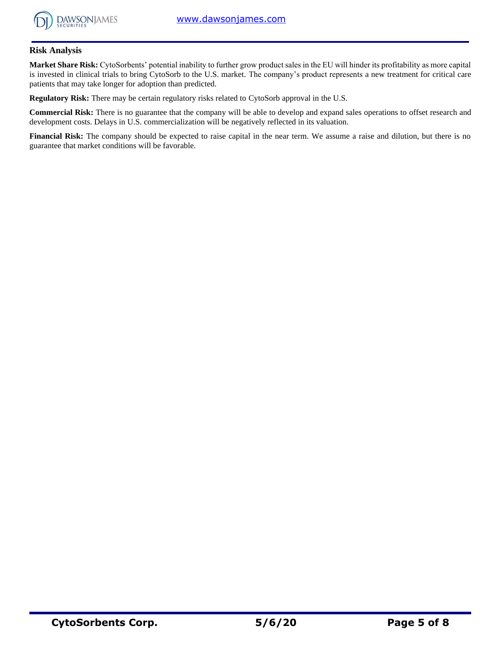

# **Risk Analysis**

**Market Share Risk:** CytoSorbents' potential inability to further grow product sales in the EU will hinder its profitability as more capital is invested in clinical trials to bring CytoSorb to the U.S. market. The company's product represents a new treatment for critical care patients that may take longer for adoption than predicted.

**Regulatory Risk:** There may be certain regulatory risks related to CytoSorb approval in the U.S.

**Commercial Risk:** There is no guarantee that the company will be able to develop and expand sales operations to offset research and development costs. Delays in U.S. commercialization will be negatively reflected in its valuation.

**Financial Risk:** The company should be expected to raise capital in the near term. We assume a raise and dilution, but there is no guarantee that market conditions will be favorable.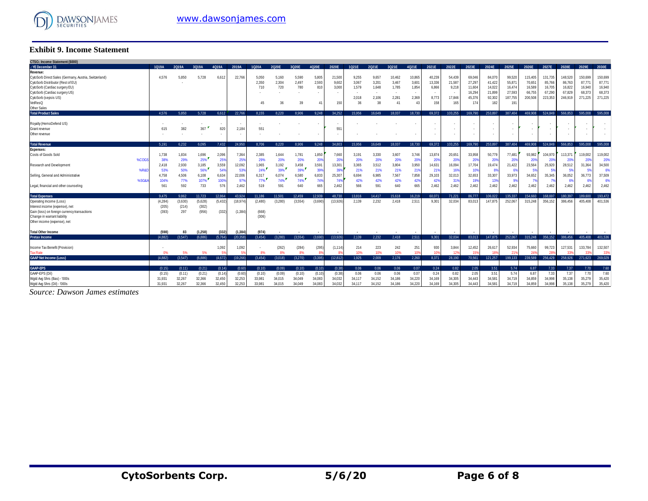

## **Exhibit 9. Income Statement**

| <b>Exhibit 9. Income Statement</b>                                                                                                                                                               |               |              |               |               |                       |                       |                       |                       |                          |                          |                                  |                                  |                                   |                                       |                                    |                                               |                                                |                                                |                                                 |                                                  |                                                  |                                                  |                                                  |                                                  |
|--------------------------------------------------------------------------------------------------------------------------------------------------------------------------------------------------|---------------|--------------|---------------|---------------|-----------------------|-----------------------|-----------------------|-----------------------|--------------------------|--------------------------|----------------------------------|----------------------------------|-----------------------------------|---------------------------------------|------------------------------------|-----------------------------------------------|------------------------------------------------|------------------------------------------------|-------------------------------------------------|--------------------------------------------------|--------------------------------------------------|--------------------------------------------------|--------------------------------------------------|--------------------------------------------------|
| CTSO.: Income Statement (\$000)                                                                                                                                                                  |               |              |               |               |                       |                       |                       |                       |                          |                          |                                  |                                  |                                   |                                       |                                    |                                               |                                                |                                                |                                                 |                                                  |                                                  |                                                  |                                                  |                                                  |
| .: YE December 31                                                                                                                                                                                | 1019A         | 2019A        | 3019A         | 4019A         | 2019A                 | 1020A                 | 2020E                 | 3020E                 | 4020E                    | 2020E                    | 1021E                            | 2021E                            | 3021E                             | 4021E                                 | 2021E                              | 2022E                                         | 2023E                                          | 2024E                                          | 2025E                                           | 2026E                                            | 2027E                                            | 2028E                                            | 2029E                                            | 2030E                                            |
| Revenue:<br>CytoSorb Direct Sales (Germany, Austria, Switzerland)<br>CytoSorb Distributor (Rest of EU)<br>CytoSorb (Cardiac surgery EU)<br>CytoSorb (Cardiac surgery US)<br>CytoSorb (sepsis US) | 4.576         | 5,850        | 5,728         | 6.612         | 22,766                | 5,050<br>2,350<br>710 | 5.160<br>2,304<br>720 | 5,590<br>2,497<br>780 | 5,805<br>2,593<br>810    | 21,500<br>9,602<br>3,000 | 9.255<br>3,067<br>1,579<br>2.018 | 9,657<br>3,201<br>1,648<br>2,106 | 10,462<br>3,467<br>1,785<br>2,281 | 10,865<br>3,60<br>1,854<br>٠<br>2,369 | 40,239<br>13,336<br>6,866<br>8,773 | 54,439<br>21,587<br>9,218<br>$\sim$<br>17,846 | 69,046<br>27,297<br>11,604<br>16,294<br>45.376 | 84,070<br>41,422<br>14,022<br>21,899<br>92,302 | 99,520<br>55,871<br>16,474<br>27,593<br>187,755 | 115,405<br>70,651<br>16,589<br>66,755<br>200,508 | 131,735<br>85,766<br>16,705<br>67,290<br>223,353 | 148,520<br>86,763<br>16,822<br>67,829<br>246,919 | 150,699<br>87,771<br>16,940<br>68,373<br>271,225 | 150,699<br>87,771<br>16,940<br>68,373<br>271,225 |
| VetResQ                                                                                                                                                                                          |               |              |               |               |                       | 45                    | 36                    | 39                    | $\Delta$ 1               | 150                      | 36                               | 38                               | 41                                | 4 <sup>′</sup>                        | 158                                | 165                                           | 174                                            | 182                                            | 191                                             |                                                  |                                                  |                                                  |                                                  |                                                  |
| Other Sales                                                                                                                                                                                      |               |              |               |               |                       |                       |                       |                       |                          |                          |                                  |                                  |                                   |                                       |                                    |                                               |                                                |                                                |                                                 |                                                  |                                                  |                                                  |                                                  |                                                  |
| <b>Total Product Sales</b>                                                                                                                                                                       | 4.576         | 5.850        | 5.728         | 6.612         | 22.766                | 8.155                 | 8.220                 | 8.906                 | 9.248                    | 34.252                   | 15.956                           | 16.649                           | 18.037                            | 18.730                                | 69.372                             | 103.255                                       | 169.790                                        | 253.897                                        | 387.404                                         | 469,908                                          | 524.849                                          | 566.853                                          | 595.008                                          | 595,008                                          |
| Royalty (HemoDefend US)                                                                                                                                                                          |               |              |               |               |                       |                       |                       |                       | $\overline{\phantom{a}}$ | $\overline{\phantom{a}}$ |                                  |                                  |                                   |                                       |                                    | ٠                                             |                                                |                                                |                                                 |                                                  |                                                  |                                                  |                                                  |                                                  |
| Grant revenue                                                                                                                                                                                    | 615           | 382          | 367           | 820           | 2.184                 | 551                   |                       |                       |                          | 551                      |                                  |                                  |                                   |                                       |                                    | ٠                                             |                                                |                                                |                                                 |                                                  |                                                  |                                                  |                                                  |                                                  |
| Other revenue                                                                                                                                                                                    |               |              |               |               |                       |                       |                       |                       | $\overline{\phantom{a}}$ | $\overline{\phantom{a}}$ |                                  |                                  |                                   | $\tilde{\phantom{a}}$                 |                                    | $\sim$                                        |                                                |                                                |                                                 | ٠                                                |                                                  |                                                  |                                                  |                                                  |
| <b>Total Revenue</b>                                                                                                                                                                             | 5.191         | 6.232        | 6.095         | 7.432         | 24.950                | 8.706                 | 8.220                 | 8.906                 | 9.248                    | 34.803                   | 15.956                           | 16.649                           | 18.037                            | 18.730                                | 69.372                             | 103.255                                       | 169,790                                        | 253.897                                        | 387.404                                         | 469.908                                          | 524.849                                          | 566,853                                          | 595,008                                          | 595.008                                          |
| <b>Expenses:</b>                                                                                                                                                                                 |               |              |               |               |                       |                       |                       |                       |                          |                          |                                  |                                  |                                   |                                       |                                    |                                               |                                                |                                                |                                                 |                                                  |                                                  |                                                  |                                                  |                                                  |
| Costs of Goods Sold<br>%COG                                                                                                                                                                      | 1.738<br>38%  | 1.834<br>29% | 1,696<br>25%  | 2.096<br>25%  | 7.364<br>$25^{\circ}$ | 2.385<br>29%          | 1.644<br>20%          | 1.781<br>20%          | 1,850<br>20%             | 7.660<br>209             | 3.191<br>20%                     | 3.330<br>20%                     | 3.607<br>20%                      | 3.746<br>20%                          | 13,874<br>20 <sup>o</sup>          | 20,651<br>20%                                 | 33,958<br>20%                                  | 50,779<br>20%                                  | 77,481<br>-20%                                  | 93,982<br>-20%                                   | 104.970<br>-209                                  | 113,371<br><b>20%</b>                            | 119,002<br>20%                                   | 119,002<br>20%                                   |
| Research and Development<br>%R&D                                                                                                                                                                 | 2.418<br>53%  | 2.930<br>50% | 3,185<br>56%  | 3,559<br>54%  | 12.092<br>539         | 1,965<br>24%          | 3,192<br>39%          | 3,458<br>39%          | 3,591<br>399             | 13,301<br>399            | 3,365<br>21%                     | 3.512<br>21%                     | 3,804<br>21%                      | 3,950<br>219                          | 14,631<br>21%                      | 16,094<br>16%                                 | 17,704<br>10%                                  | 19,474<br>-89                                  | 21,422                                          | 23,564<br>-59                                    | 25,920<br>.59                                    | 28,512                                           | 31,364<br>-5%                                    | 34,500<br>6                                      |
| Selling, General and Administrative<br>%SG&A                                                                                                                                                     | 4.758<br>104% | 4,506<br>77% | 6.108<br>107% | 6.634<br>100% | 22,006<br>97%         | 6,317<br>77%          | 6.074<br>74%          | 6,580<br>74%          | 6.833<br>749             | 25.307<br>74%            | 6.694<br>42%                     | 6,985<br>42%                     | 7.567<br>42%                      | 7.858<br>42%                          | 29,103<br>429                      | 32.013<br>319                                 | 32.653<br>199                                  | 33,307<br>139                                  | 33,973                                          | 34,652<br>-79                                    | 35.345                                           | 36.052                                           | 36,773<br>6%                                     | 37,509<br>6                                      |
| Legal, financial and other counseling                                                                                                                                                            | 561           | 592          | 733           | 576           | 2.462                 | 519                   | 591                   | 640                   | 665                      | 2.462                    | 566                              | 591                              | 640                               | 665                                   | 2.462                              | 2.462                                         | 2.462                                          | 2.462                                          | 2.462                                           | 2.462                                            | 2.462                                            | 2.462                                            | 2.462                                            | 2,462                                            |
| <b>Total Expenses</b>                                                                                                                                                                            | 9.475         | 9.862        | 11.723        | 12.864        | 43.924                | 11.186                | 11.501                | 12.459                | 12.939                   | 48.730                   | 13.816                           | 14.417                           | 15,618                            | 16,219                                | 60.071                             | 71.221                                        | 86.777                                         | 106.022                                        | 135.337                                         | 154.660                                          | 168.697                                          | 180.397                                          | 189,600                                          | 193,472                                          |
| Operating Income (Loss)                                                                                                                                                                          | (4.284)       | (3,630)      | (5,628)       | (5, 432)      | (18, 974)             | (2,480)               | (3.280)               | (3,554)               | (3.690)                  | (13,926)                 | 2.139                            | 2.232                            | 2.418                             | 2,511                                 | 9.301                              | 32,034                                        | 83,013                                         | 147.875                                        | 252,067                                         | 315.248                                          | 356.152                                          | 386,456                                          | 405.408                                          | 401,536                                          |
| Interest income (expense), net                                                                                                                                                                   | (205)         | (214)        | (302)         |               |                       |                       |                       |                       |                          |                          |                                  |                                  |                                   |                                       |                                    |                                               |                                                |                                                |                                                 |                                                  |                                                  |                                                  |                                                  |                                                  |
| Gain (loss) on foreign currency transactions                                                                                                                                                     | (393)         | 297          | (956)         | (332)         | (1, 384)              | (668)                 |                       |                       |                          |                          |                                  |                                  |                                   |                                       |                                    |                                               |                                                |                                                |                                                 |                                                  |                                                  |                                                  |                                                  |                                                  |
| Change in warrant liability                                                                                                                                                                      |               |              |               |               |                       | (306)                 |                       |                       |                          |                          |                                  |                                  |                                   |                                       |                                    |                                               |                                                |                                                |                                                 |                                                  |                                                  |                                                  |                                                  |                                                  |
| Other income (expense), net                                                                                                                                                                      |               |              |               |               |                       |                       |                       |                       |                          |                          |                                  |                                  |                                   |                                       |                                    |                                               |                                                |                                                |                                                 |                                                  |                                                  |                                                  |                                                  |                                                  |
| <b>Total Other Income</b>                                                                                                                                                                        | (598)         | 83           | (1, 258)      | (332)         | (1, 384)              | (974)                 |                       |                       |                          |                          |                                  |                                  |                                   |                                       |                                    |                                               |                                                |                                                |                                                 |                                                  |                                                  |                                                  |                                                  |                                                  |
| <b>Pretax Income</b>                                                                                                                                                                             | (4.882)       | (3,547)      | (6.886)       | (5,764)       | (20.358)              | (3, 454)              | (3.280)               | (3.554)               | (3.690)                  | (13,926)                 | 2.139                            | 2.232                            | 2.418                             | 2,511                                 | 9.301                              | 32,034                                        | 83,013                                         | 147.875                                        | 252,067                                         | 315,248                                          | 356,152                                          | 386.456                                          | 405.408                                          | 401.536                                          |
|                                                                                                                                                                                                  |               |              |               |               |                       |                       |                       |                       |                          |                          |                                  |                                  |                                   |                                       |                                    |                                               |                                                |                                                |                                                 |                                                  |                                                  |                                                  |                                                  |                                                  |
| Income Tax Benefit (Provision)                                                                                                                                                                   |               |              |               | 1,092         | 1,092                 |                       | (262)                 | (284)                 | (295                     | (1, 114)                 | 214                              | 223                              | 242                               | 251                                   | 930                                | 3,844                                         | 12,452                                         | 26,617                                         | 52,934                                          | 75,660                                           | 99,723                                           | 127,531                                          | 133,784                                          | 132,507                                          |
| <b>Tax Rate</b>                                                                                                                                                                                  | 0%            | 5%           | 5%            |               |                       | 8%                    | 8%                    | 8%                    |                          |                          | 10%                              | 10%                              | 10%                               | 10                                    | 10                                 | 12 <sup>6</sup>                               | 15                                             | 18%                                            |                                                 | 24'                                              |                                                  |                                                  | 33%                                              | -33%                                             |
| <b>GAAP Net Income (Loss)</b>                                                                                                                                                                    | (4.882)       | (3.547)      | (6.886)       | (4.672)       | (19.266)              | (3.454)               | (3.018)               | (3.270)               | (3.395)                  | (12.812)                 | 1.925                            | 2.009                            | 2.176                             | 2.260                                 | 8.371                              | 28.190                                        | 70.561                                         | 121.257                                        | 199.133                                         | 239.589                                          | 256,429                                          | 258.926                                          | 271.623                                          | 269,029                                          |
| <b>GAAP-EPS</b>                                                                                                                                                                                  | (0.15)        | (0.11)       | (0.21)        | (0.14)        | (0.60)                | (0.10)                | (0.09)                | (0.10)                | (0.10)                   | (0.38)                   | 0.06                             | 0.06                             | 0.06                              | 0.07                                  | 0.24                               | 0.82                                          | 2.05                                           | 3.51                                           | 5.74                                            | 6.87                                             | 7.33                                             | 7.37                                             | 7.70                                             | 7.60                                             |
| GAAP-EPS (Dil)                                                                                                                                                                                   | (0.15)        | (0.11)       | (0.21)        | (0.14)        | (0.60)                | (0.10)                | (0.09)                | (0.10)                | (0.10)                   | (0.38)                   | 0.06                             | 0.06                             | 0.06                              | 0.07                                  | 0.24                               | 0.82                                          | 2.05                                           | 3.51                                           | 5.74                                            | 6.87                                             | 7.33                                             | 7.37                                             | 7.70                                             | 7.60                                             |
| Wgtd Avg Shrs (Bas) - '000s                                                                                                                                                                      | 31.931        | 32,267       | 32,366        | 32,450        | 32,253                | 33,981                | 34.015                | 34.049                | 34.083                   | 34.032                   | 34.117                           | 34.152                           | 34.186                            | 34,220                                | 34.169                             | 34,305                                        | 34,443                                         | 34,581                                         | 34.719                                          | 34,859                                           | 34.998                                           | 35,138                                           | 35,279                                           | 35,420                                           |
| Wgtd Avg Shrs (Dil) - '000s                                                                                                                                                                      | 31.931        | 32.267       | 32,366        | 32,450        | 32.253                | 33,981                | 34.015                | 34.049                | 34.083                   | 34.032                   | 34.117                           | 34.152                           | 34,186                            | 34.220                                | 34,169                             | 34,305                                        | 34,443                                         | 34.581                                         | 34.719                                          | 34,859                                           | 34,998                                           | 35.138                                           | 35.279                                           | 35,420                                           |

*Source: Dawson James estimates*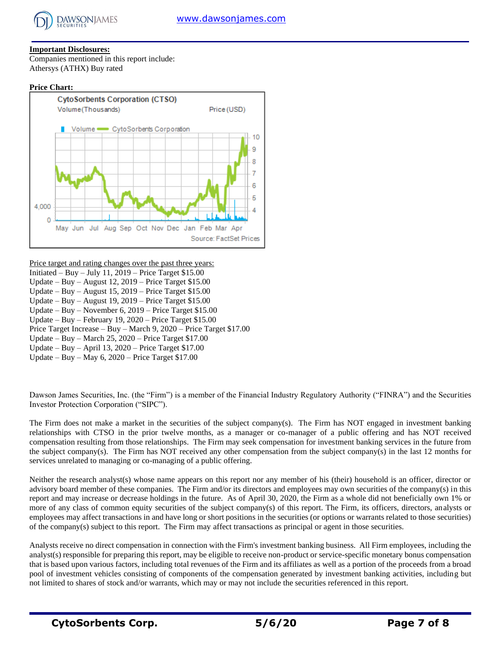

# **Important Disclosures:**

Companies mentioned in this report include: Athersys (ATHX) Buy rated

#### **Price Chart:**



Price target and rating changes over the past three years:

- Initiated Buy July 11,  $2019$  Price Target \$15.00
- Update Buy August 12, 2019 Price Target \$15.00
- Update Buy August 15, 2019 Price Target  $$15.00$
- Update Buy August 19, 2019 Price Target \$15.00
- Update Buy November 6, 2019 Price Target \$15.00
- Update Buy February 19, 2020 Price Target \$15.00
- Price Target Increase Buy March 9, 2020 Price Target \$17.00
- Update Buy March 25, 2020 Price Target \$17.00
- Update Buy April 13, 2020 Price Target \$17.00
- Update Buy May 6, 2020 Price Target \$17.00

Dawson James Securities, Inc. (the "Firm") is a member of the Financial Industry Regulatory Authority ("FINRA") and the Securities Investor Protection Corporation ("SIPC").

The Firm does not make a market in the securities of the subject company(s). The Firm has NOT engaged in investment banking relationships with CTSO in the prior twelve months, as a manager or co-manager of a public offering and has NOT received compensation resulting from those relationships. The Firm may seek compensation for investment banking services in the future from the subject company(s). The Firm has NOT received any other compensation from the subject company(s) in the last 12 months for services unrelated to managing or co-managing of a public offering.

Neither the research analyst(s) whose name appears on this report nor any member of his (their) household is an officer, director or advisory board member of these companies. The Firm and/or its directors and employees may own securities of the company(s) in this report and may increase or decrease holdings in the future. As of April 30, 2020, the Firm as a whole did not beneficially own 1% or more of any class of common equity securities of the subject company(s) of this report. The Firm, its officers, directors, analysts or employees may affect transactions in and have long or short positions in the securities (or options or warrants related to those securities) of the company(s) subject to this report. The Firm may affect transactions as principal or agent in those securities.

Analysts receive no direct compensation in connection with the Firm's investment banking business. All Firm employees, including the analyst(s) responsible for preparing this report, may be eligible to receive non-product or service-specific monetary bonus compensation that is based upon various factors, including total revenues of the Firm and its affiliates as well as a portion of the proceeds from a broad pool of investment vehicles consisting of components of the compensation generated by investment banking activities, including but not limited to shares of stock and/or warrants, which may or may not include the securities referenced in this report.